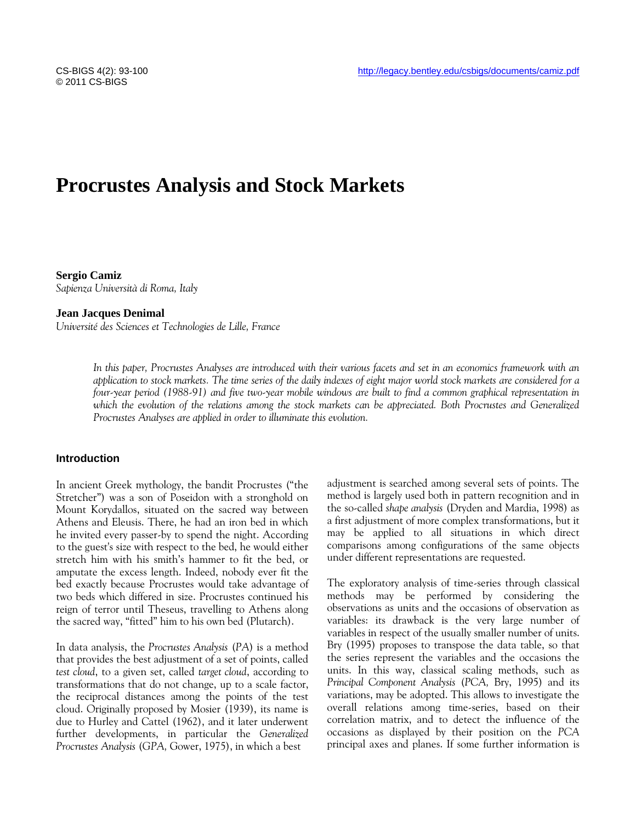# **Procrustes Analysis and Stock Markets**

**Sergio Camiz** *Sapienza Università di Roma, Italy*

#### **Jean Jacques Denimal**

*Université des Sciences et Technologies de Lille, France*

*In this paper, Procrustes Analyses are introduced with their various facets and set in an economics framework with an application to stock markets. The time series of the daily indexes of eight major world stock markets are considered for a four-year period (1988-91) and five two-year mobile windows are built to find a common graphical representation in*  which the evolution of the relations among the stock markets can be appreciated. Both Procrustes and Generalized *Procrustes Analyses are applied in order to illuminate this evolution.*

## **Introduction**

In ancient Greek mythology, the bandit Procrustes ("the Stretcher") was a son of Poseidon with a stronghold on Mount Korydallos, situated on the sacred way between Athens and Eleusis. There, he had an iron bed in which he invited every passer-by to spend the night. According to the guest's size with respect to the bed, he would either stretch him with his smith's hammer to fit the bed, or amputate the excess length. Indeed, nobody ever fit the bed exactly because Procrustes would take advantage of two beds which differed in size. Procrustes continued his reign of terror until Theseus, travelling to Athens along the sacred way, "fitted" him to his own bed (Plutarch).

In data analysis, the *Procrustes Analysis* (*PA*) is a method that provides the best adjustment of a set of points, called *test cloud*, to a given set, called *target cloud*, according to transformations that do not change, up to a scale factor, the reciprocal distances among the points of the test cloud. Originally proposed by Mosier (1939), its name is due to Hurley and Cattel (1962), and it later underwent further developments, in particular the *Generalized Procrustes Analysis* (*GPA,* Gower, 1975), in which a best

adjustment is searched among several sets of points. The method is largely used both in pattern recognition and in the so-called *shape analysis* (Dryden and Mardia, 1998) as a first adjustment of more complex transformations, but it may be applied to all situations in which direct comparisons among configurations of the same objects under different representations are requested.

The exploratory analysis of time-series through classical methods may be performed by considering the observations as units and the occasions of observation as variables: its drawback is the very large number of variables in respect of the usually smaller number of units. Bry (1995) proposes to transpose the data table, so that the series represent the variables and the occasions the units. In this way, classical scaling methods, such as *Principal Component Analysis* (*PCA,* Bry, 1995) and its variations, may be adopted. This allows to investigate the overall relations among time-series, based on their correlation matrix, and to detect the influence of the occasions as displayed by their position on the *PCA* principal axes and planes. If some further information is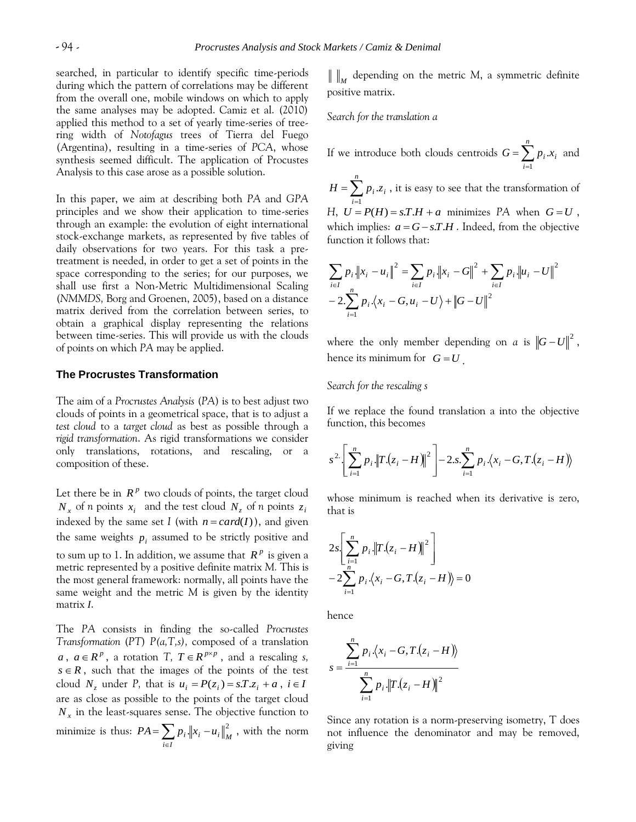searched, in particular to identify specific time-periods during which the pattern of correlations may be different from the overall one, mobile windows on which to apply the same analyses may be adopted. Camiz et al. (2010) applied this method to a set of yearly time-series of treering width of *Notofagus* trees of Tierra del Fuego (Argentina), resulting in a time-series of *PCA*, whose synthesis seemed difficult. The application of Procustes Analysis to this case arose as a possible solution.

In this paper, we aim at describing both *PA* and *GPA*  principles and we show their application to time-series through an example: the evolution of eight international stock-exchange markets, as represented by five tables of daily observations for two years. For this task a pretreatment is needed, in order to get a set of points in the space corresponding to the series; for our purposes, we shall use first a Non-Metric Multidimensional Scaling (*NMMDS,* Borg and Groenen, 2005), based on a distance matrix derived from the correlation between series, to obtain a graphical display representing the relations between time-series. This will provide us with the clouds of points on which *PA* may be applied.

## **The Procrustes Transformation**

The aim of a *Procrustes Analysis* (*PA*) is to best adjust two clouds of points in a geometrical space, that is to adjust a *test cloud* to a *target cloud* as best as possible through a *rigid transformation*. As rigid transformations we consider only translations, rotations, and rescaling, or a composition of these.

Let there be in  $R^p$  two clouds of points, the target cloud  $N_x$  of *n* points  $x_i$  and the test cloud  $N_z$  of *n* points  $z_i$ indexed by the same set I (with  $n = card(I)$ ), and given the same weights  $p_i$  assumed to be strictly positive and to sum up to 1. In addition, we assume that  $R^p$  is given a metric represented by a positive definite matrix *M.* This is the most general framework: normally, all points have the same weight and the metric *M* is given by the identity matrix *I*.

The *PA* consists in finding the so-called *Procrustes Transformation* (*PT*) *P(a,T,s),* composed of a translation  $a, a \in \mathbb{R}^p$ , a rotation *T*,  $T \in \mathbb{R}^{p \times p}$ , and a rescaling *s*,  $s \in R$ , such that the images of the points of the test cloud  $N_z$  under P, that is  $u_i = P(z_i) = sT \cdot z_i + a$ ,  $i \in I$ are as close as possible to the points of the target cloud *Nx* in the least-squares sense. The objective function to minimize is thus:  $PA = \sum_{i \in I}$  $= \sum_{i} p_i ||x_i PA = \sum_{i \in I} p_i \cdot ||x_i - u_i||_M^2$ , with the norm

*M* depending on the metric *M*, a symmetric definite positive matrix.

*Search for the translation a*

If we introduce both clouds centroids  $G = \sum_{i=1}^{\infty}$ *n i*  $G = \sum_{i} p_i x_i$  and 1  $=\sum_{i=1}$ *n i*  $H = \sum p_i z_i$ 1  $z_i$ , it is easy to see that the transformation of *H*,  $U = P(H) = sT.H + a$  minimizes PA when  $G = U$ , which implies:  $a = G - sT.H$ . Indeed, from the objective function it follows that:

$$
\sum_{i \in I} p_i ||x_i - u_i||^2 = \sum_{i \in I} p_i ||x_i - G||^2 + \sum_{i \in I} p_i ||u_i - U||^2
$$
  
- 2. 
$$
\sum_{i=1}^{n} p_i \langle x_i - G, u_i - U \rangle + ||G - U||^2
$$

where the only member depending on *a* is  $\left\|G-U\right\|^2$ , hence its minimum for  $G = U$ .

## *Search for the rescaling s*

If we replace the found translation a into the objective function, this becomes

$$
s^{2} \left[ \sum_{i=1}^{n} p_{i} \left\| T.(z_{i} - H) \right\|^{2} \right] - 2 \cdot s \cdot \sum_{i=1}^{n} p_{i} \cdot \left\langle x_{i} - G, T.(z_{i} - H) \right\rangle
$$

whose minimum is reached when its derivative is zero, that is

$$
2s\left[\sum_{i=1}^{n} p_i ||T.(z_i - H)||^2\right] - 2\sum_{i=1}^{n} p_i \cdot \langle x_i - G, T.(z_i - H) \rangle = 0
$$

hence

$$
s = \frac{\sum_{i=1}^{n} p_i \cdot (x_i - G, T \cdot (z_i - H))}{\sum_{i=1}^{n} p_i \cdot ||T \cdot (z_i - H)||^2}
$$

Since any rotation is a norm-preserving isometry, T does not influence the denominator and may be removed, giving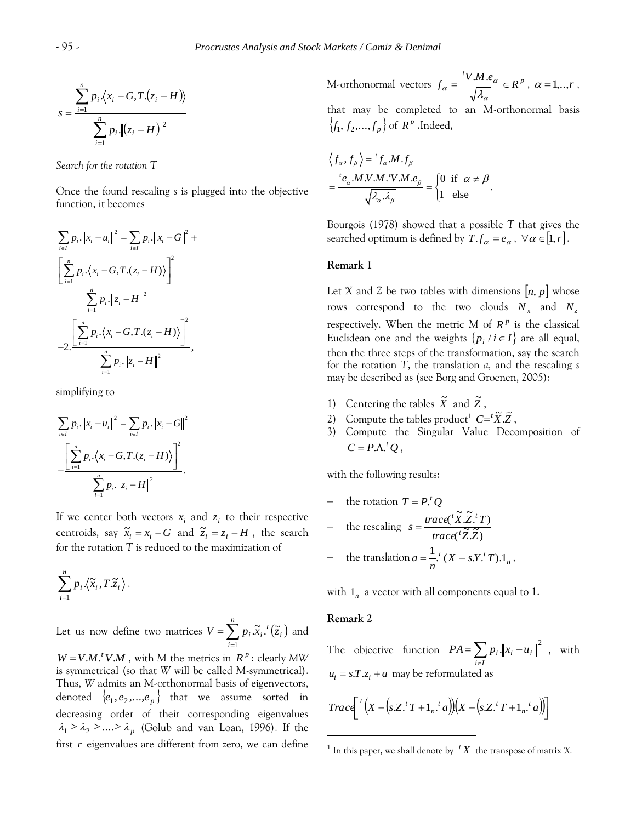$$
s = \frac{\sum_{i=1}^{n} p_i \cdot \langle x_i - G, T \cdot (z_i - H) \rangle}{\sum_{i=1}^{n} p_i \cdot \left\| (z_i - H) \right\|^2}
$$

*Search for the rotation T*

Once the found rescaling *s* is plugged into the objective function, it becomes

$$
\sum_{i\in I} p_i \cdot ||x_i - u_i||^2 = \sum_{i\in I} p_i \cdot ||x_i - G||^2 +
$$
\n
$$
\frac{\left[\sum_{i=1}^n p_i \cdot (x_i - G, T, (z_i - H))\right]^2}{\sum_{i=1}^n p_i \cdot ||z_i - H||^2}
$$
\n
$$
-2 \cdot \frac{\left[\sum_{i=1}^n p_i \cdot (x_i - G, T, (z_i - H))\right]^2}{\sum_{i=1}^n p_i \cdot ||z_i - H||^2},
$$

simplifying to

$$
\sum_{i \in I} p_i \cdot ||x_i - u_i||^2 = \sum_{i \in I} p_i \cdot ||x_i - G||^2
$$

$$
\frac{\left[\sum_{i=1}^n p_i \cdot (x_i - G, T, (z_i - H))\right]^2}{\sum_{i=1}^n p_i \cdot ||z_i - H||^2}.
$$

If we center both vectors  $x_i$  and  $z_i$  to their respective centroids, say  $\tilde{x}_i = x_i - G$  and  $\tilde{z}_i = z_i - H$ , the search for the rotation *T* is reduced to the maximization of

$$
\sum_{i=1}^n p_i \langle \widetilde{x}_i, T \widetilde{z}_i \rangle.
$$

Let us now define two matrices  $V = \sum_{i=1}^n p_i \tilde{x}_i^{\ t} (\tilde{z}_i)$  $=$ *n i i*  $V = \sum p_i \widetilde{x}_i$ <sup>*t*</sup> $(\widetilde{z})$ 1  $\tilde{x}_{i}.^{t}(\tilde{z}_{i})$  and

 $W = V.M.^tV.M$ , with *M* the metrics in  $R^p$ : clearly MW is symmetrical (so that *W* will be called *M*-symmetrical). Thus, *W* admits an *M*-orthonormal basis of eigenvectors, denoted  $\{e_1, e_2, ..., e_p\}$  that we assume sorted in decreasing order of their corresponding eigenvalues  $\lambda_1 \geq \lambda_2 \geq ... \geq \lambda_p$  (Golub and van Loan, 1996). If the first *r* eigenvalues are different from zero, we can define

*M*-orthonormal vectors  $f_a = \frac{iV.M.e_a}{\sqrt{I}} \in R^p$  $f_{\alpha} = \frac{^t V.M.e_{\alpha}}{\sqrt{\lambda_{\alpha}}} \in R$  $\alpha$  $\frac{M.e_{\alpha}}{\sqrt{M}} \in R^p$ ,  $\alpha = 1, ..., r$ , that may be completed to an *M*-orthonormal basis  $\{f_1, f_2, \ldots, f_p\}$  of  $R^p$ .Indeed,

$$
\langle f_{\alpha}, f_{\beta} \rangle = {}^{t} f_{\alpha} M . f_{\beta}
$$
  
= 
$$
\frac{{}^{t} e_{\alpha} M V.M . {}^{t} V.M . e_{\beta}}{\sqrt{\lambda_{\alpha} \lambda_{\beta}}} = \begin{cases} 0 & \text{if } \alpha \neq \beta \\ 1 & \text{else} \end{cases}.
$$

Bourgois (1978) showed that a possible *T* that gives the searched optimum is defined by  $T.f_\alpha = e_\alpha$ ,  $\forall \alpha \in [1, r].$ 

.

## **Remark 1**

Let *X* and *Z* be two tables with dimensions  $[n, p]$  whose rows correspond to the two clouds  $N_x$  and  $N_z$ respectively. When the metric  $M$  of  $\mathbb{R}^p$  is the classical Euclidean one and the weights  $\{p_i \mid i \in I\}$  are all equal, then the three steps of the transformation, say the search for the rotation *T*, the translation *a,* and the rescaling *s* may be described as (see Borg and Groenen, 2005):

- 1) Centering the tables  $\widetilde{X}$  and  $\widetilde{Z}$ ,
- 2) Compute the tables product<sup>1</sup>  $C = \overline{X} \cdot \overline{Z}$ ,
- 3) Compute the Singular Value Decomposition of  $C = P \cdot \Lambda^t Q$ ,

with the following results:

- the rotation 
$$
T = P
$$
.<sup>t</sup> Q  
\n- the rescaling  $s = \frac{trace({}^{t}\tilde{X}.\tilde{Z}.{}^{t}T)}{trace({}^{t}\tilde{Z}.\tilde{Z})}$   
\n- the translation  $a = \frac{1}{n}$ .<sup>t</sup>  $(X - s.Y.^{t}T).1_{n}$ ,

with  $1_n$  a vector with all components equal to 1.

#### **Remark 2**

 $\overline{a}$ 

The objective function  $PA = \sum_{i \in I} p_i ||x_i - u_i||^2$  $= \sum_{i} p_{i} \parallel x_{i}$ *i I*  $PA = \sum p_i \left\| x_i - u_i \right\|^2$ , with  $u_i = s.T.z_i + a$  may be reformulated as

$$
Trace\bigg[{}^{t}\big(X-\big(s.Z.^{t}T+1_{n}.^{t}a\big)\big)\big(X-\big(s.Z.^{t}T+1_{n}.^{t}a\big)\big)\bigg]
$$

<sup>&</sup>lt;sup>1</sup> In this paper, we shall denote by  $(X$ <sup>t</sup>  $X$  the transpose of matrix  $X$ .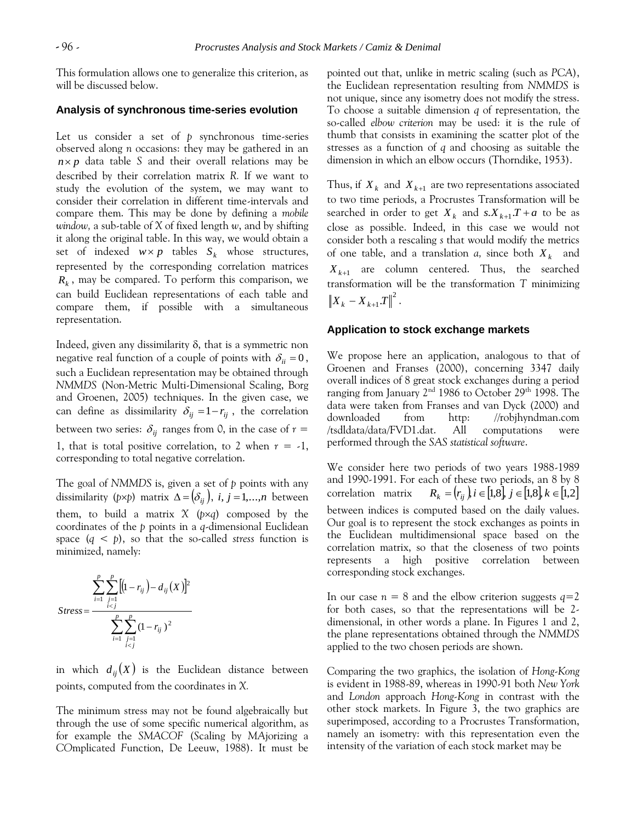This formulation allows one to generalize this criterion, as will be discussed below.

## **Analysis of synchronous time-series evolution**

Let us consider a set of *p* synchronous time-series observed along *n* occasions: they may be gathered in an  $n \times p$  data table *S* and their overall relations may be described by their correlation matrix *R.* If we want to study the evolution of the system, we may want to consider their correlation in different time-intervals and compare them. This may be done by defining a *mobile window,* a sub-table of *X* of fixed length *w*, and by shifting it along the original table. In this way, we would obtain a set of indexed  $w \times p$  tables  $S_k$  whose structures, represented by the corresponding correlation matrices *Rk* , may be compared. To perform this comparison, we can build Euclidean representations of each table and compare them, if possible with a simultaneous representation.

Indeed, given any dissimilarity  $\delta$ , that is a symmetric non negative real function of a couple of points with  $\delta_{ii} = 0$ , such a Euclidean representation may be obtained through *NMMDS* (Non-Metric Multi-Dimensional Scaling, Borg and Groenen, 2005) techniques. In the given case, we can define as dissimilarity  $\delta_{ij} = 1 - r_{ij}$ , the correlation between two series:  $\delta_{ij}$  ranges from 0, in the case of  $r =$ 1, that is total positive correlation, to 2 when  $r = -1$ , corresponding to total negative correlation.

The goal of *NMMDS* is, given a set of *p* points with any dissimilarity (p×p) matrix  $\Delta = (\delta_{ij}), i, j = 1,...,n$  between them, to build a matrix  $X$  ( $p \times q$ ) composed by the coordinates of the *p* points in a *q*-dimensional Euclidean space  $(q < p)$ , so that the so-called *stress* function is minimized, namely:

$$
Stress = \frac{\sum_{i=1}^{p} \sum_{\substack{j=1 \ i
$$

in which  $d_{ij}(X)$  is the Euclidean distance between points, computed from the coordinates in *X.*

The minimum stress may not be found algebraically but through the use of some specific numerical algorithm, as for example the *SMACOF* (*S*caling by *MA*jorizing a *CO*mplicated *F*unction, De Leeuw, 1988). It must be pointed out that, unlike in metric scaling (such as *PCA*), the Euclidean representation resulting from *NMMDS* is not unique, since any isometry does not modify the stress. To choose a suitable dimension *q* of representation*,* the so-called *elbow criterion* may be used: it is the rule of thumb that consists in examining the scatter plot of the stresses as a function of *q* and choosing as suitable the dimension in which an elbow occurs (Thorndike, 1953).

Thus, if  $X_k$  and  $X_{k+1}$  are two representations associated to two time periods, a Procrustes Transformation will be searched in order to get  $X_k$  and  $s.X_{k+1}T + a$  to be as close as possible. Indeed, in this case we would not consider both a rescaling *s* that would modify the metrics of one table, and a translation  $a$ , since both  $X_k$  and  $X_{k+1}$  are column centered. Thus, the searched transformation will be the transformation *T* minimizing  $X_{k} - X_{k+1}.T\|^{2}.$ 

# **Application to stock exchange markets**

We propose here an application, analogous to that of Groenen and Franses (2000), concerning 3347 daily overall indices of 8 great stock exchanges during a period ranging from January  $2<sup>nd</sup>$  1986 to October 29<sup>th</sup> 1998. The data were taken from Franses and van Dyck (2000) and downloaded from http: //robjhyndman.com /tsdldata/data/FVD1.dat. All computations were performed through the *SAS statistical software*.

We consider here two periods of two years 1988-1989 and 1990-1991. For each of these two periods, an 8 by 8 correlation matrix  $R_k = (r_{ii}), i \in [1,8], j \in [1,8], k \in [1,2]$ between indices is computed based on the daily values. Our goal is to represent the stock exchanges as points in the Euclidean multidimensional space based on the correlation matrix, so that the closeness of two points represents a high positive correlation between corresponding stock exchanges.

In our case  $n = 8$  and the elbow criterion suggests  $q=2$ for both cases, so that the representations will be 2 dimensional, in other words a plane. In Figures 1 and 2, the plane representations obtained through the *NMMDS* applied to the two chosen periods are shown.

Comparing the two graphics, the isolation of *Hong-Kong*  is evident in 1988-89, whereas in 1990-91 both *New York*  and *London* approach *Hong-Kong* in contrast with the other stock markets. In Figure 3, the two graphics are superimposed, according to a Procrustes Transformation, namely an isometry: with this representation even the intensity of the variation of each stock market may be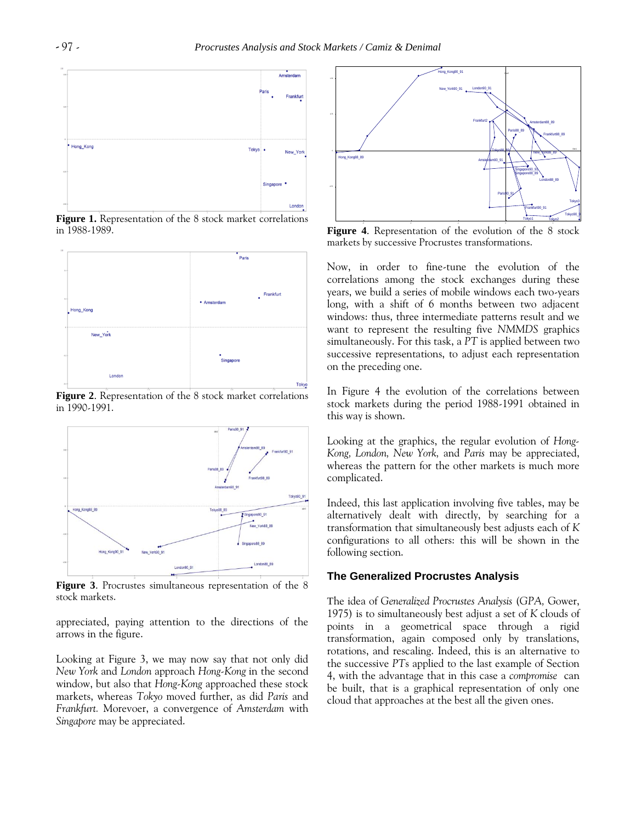

**Figure 1.** Representation of the 8 stock market correlations in 1988-1989.



**Figure 2**. Representation of the 8 stock market correlations in 1990-1991.



**Figure 3**. Procrustes simultaneous representation of the 8 stock markets.

appreciated, paying attention to the directions of the arrows in the figure.

Looking at Figure 3, we may now say that not only did *New York* and *London* approach *Hong-Kong* in the second window, but also that *Hong-Kong* approached these stock markets, whereas *Tokyo* moved further, as did *Paris* and *Frankfurt.* Morevoer, a convergence of *Amsterdam* with *Singapore* may be appreciated.



**Figure 4**. Representation of the evolution of the 8 stock markets by successive Procrustes transformations.

Now, in order to fine-tune the evolution of the correlations among the stock exchanges during these years, we build a series of mobile windows each two-years long, with a shift of 6 months between two adjacent windows: thus, three intermediate patterns result and we want to represent the resulting five *NMMDS* graphics simultaneously. For this task, a *PT* is applied between two successive representations, to adjust each representation on the preceding one.

In Figure 4 the evolution of the correlations between stock markets during the period 1988-1991 obtained in this way is shown.

Looking at the graphics, the regular evolution of *Hong-Kong, London, New York,* and *Paris* may be appreciated, whereas the pattern for the other markets is much more complicated.

Indeed, this last application involving five tables, may be alternatively dealt with directly, by searching for a transformation that simultaneously best adjusts each of *K*  configurations to all others: this will be shown in the following section.

## **The Generalized Procrustes Analysis**

The idea of *Generalized Procrustes Analysis* (*GPA,* Gower, 1975) is to simultaneously best adjust a set of *K* clouds of points in a geometrical space through a rigid transformation, again composed only by translations, rotations, and rescaling. Indeed, this is an alternative to the successive *PT*s applied to the last example of Section 4, with the advantage that in this case a *compromise* can be built, that is a graphical representation of only one cloud that approaches at the best all the given ones.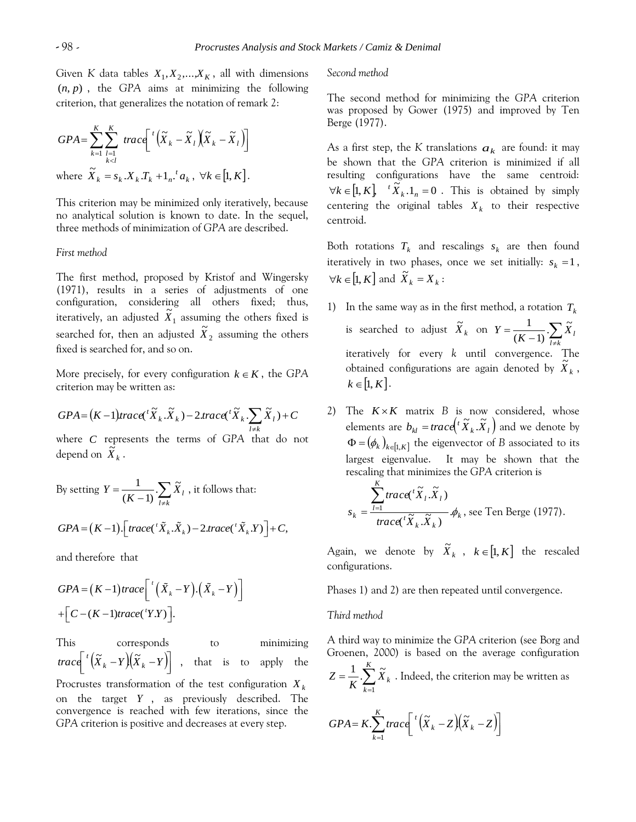Given *K* data tables  $X_1, X_2, ..., X_K$ , all with dimensions (*n*, *p*) , the *GPA* aims at minimizing the following criterion, that generalizes the notation of remark 2:

$$
GPA = \sum_{k=1}^{K} \sum_{\substack{l=1 \ k\nwhere  $\tilde{X}_{k} = s_{k} \cdot X_{k} T_{k} + 1_{n} \cdot ^{t} a_{k}, \ \forall k \in [1, K]$ .
$$

This criterion may be minimized only iteratively, because no analytical solution is known to date. In the sequel, three methods of minimization of *GPA* are described.

## *First method*

The first method, proposed by Kristof and Wingersky (1971), results in a series of adjustments of one configuration, considering all others fixed; thus, iteratively, an adjusted  $X_1$  $\tilde{X}_1$  assuming the others fixed is searched for, then an adjusted  $X_2$  $\tilde{X}_2$  assuming the others fixed is searched for, and so on.

More precisely, for every configuration  $k \in K$ , the GPA criterion may be written as:

$$
GPA = (K-1)trace({}^{t}\widetilde{X}_{k}.\widetilde{X}_{k}) - 2trace({}^{t}\widetilde{X}_{k}.\sum_{l \neq k}\widetilde{X}_{l}) + C
$$

where *C* represents the terms of *GPA* that do not depend on  $\widetilde{X}_k$ .

By setting 
$$
Y = \frac{1}{(K-1)} \cdot \sum_{l \neq k} \tilde{X}_l
$$
, it follows that:  
\n
$$
GPA = (K-1) \cdot \left[ \operatorname{trace}({}^t \tilde{X}_k \cdot \tilde{X}_k) - 2 \operatorname{trace}({}^t \tilde{X}_k \cdot Y) \right] + C,
$$

and therefore that

$$
GPA = (K-1)trace\[ (\tilde{X}_k - Y).(\tilde{X}_k - Y) \]
$$

$$
+ [C - (K-1)trace('Y.Y)].
$$

This corresponds to minimizing  $(\overline{X}_k-Y)(\overline{X}_k-Y)$ ıl L  $\int \frac{1}{\sqrt{\tilde{X}}k} dx = Y \Big| \Big| \Big| \tilde{X}_k - Y \Big|$ that is to apply the Procrustes transformation of the test configuration *X k* on the target *Y* , as previously described. The convergence is reached with few iterations, since the *GPA* criterion is positive and decreases at every step.

#### *Second method*

The second method for minimizing the *GPA* criterion was proposed by Gower (1975) and improved by Ten Berge (1977).

As a first step, the *K* translations  $a_k$  are found: it may be shown that the *GPA* criterion is minimized if all resulting configurations have the same centroid:  $\forall k \in [1, K]$   $\qquad \times K_k$ .1<sub>n</sub> = 0  ${}^{t} \tilde{X}_{k}$ .  $1_{n} = 0$ . This is obtained by simply centering the original tables  $X_k$  to their respective centroid.

Both rotations  $T_k$  and rescalings  $s_k$  are then found iteratively in two phases, once we set initially:  $s_k = 1$ ,  $\forall k \in [1, K]$  and  $\overrightarrow{X}_k = X_k$ :

- 1) In the same way as in the first method, a rotation  $T_k$ is searched to adjust  $\widetilde{X}_k$  on  $Y = \frac{1}{(K-1)} \sum_{l \neq k}$  $=$ *l k*  $\frac{1}{K-1}$ .  $\sum_{l \neq k} X_l$  $Y = \frac{1}{\sqrt{X}} \sum \widetilde{X}$  $(K - 1)$ 1 iteratively for every *k* until convergence. The obtained configurations are again denoted by  $\tilde{X}_k$ ,  $k \in \left[1, K\right]$ .
- 2) The  $K \times K$  matrix  $B$  is now considered, whose elements are  $b_{kl} = \text{trace} \left( \begin{matrix} t & \tilde{X}_k \\ \tilde{X}_k & \tilde{X}_l \end{matrix} \right)$  and we denote by  $\Phi = (\phi_k)_{k \in [1, K]}$  the eigenvector of *B* associated to its largest eigenvalue. It may be shown that the rescaling that minimizes the *GPA* criterion is

$$
s_k = \frac{\sum_{l=1}^{K} \text{trace}(\mathbf{x}_l, \tilde{X}_l)}{\text{trace}(\mathbf{x}_k, \tilde{X}_k)} \cdot \phi_k \text{, see Ten Berge (1977).}
$$

Again, we denote by  $\widetilde{X}_k$ ,  $k \in [1, K]$  the rescaled configurations.

Phases 1) and 2) are then repeated until convergence.

## *Third method*

A third way to minimize the *GPA* criterion (see Borg and Groenen, 2000) is based on the average configuration

$$
Z = \frac{1}{K} \sum_{k=1}^{K} \widetilde{X}_k
$$
. Indeed, the criterion may be written as

$$
GPA = K \cdot \sum_{k=1}^{K} trace\left[ \int_{0}^{t} \left( \tilde{X}_{k} - Z \right) \left( \tilde{X}_{k} - Z \right) \right]
$$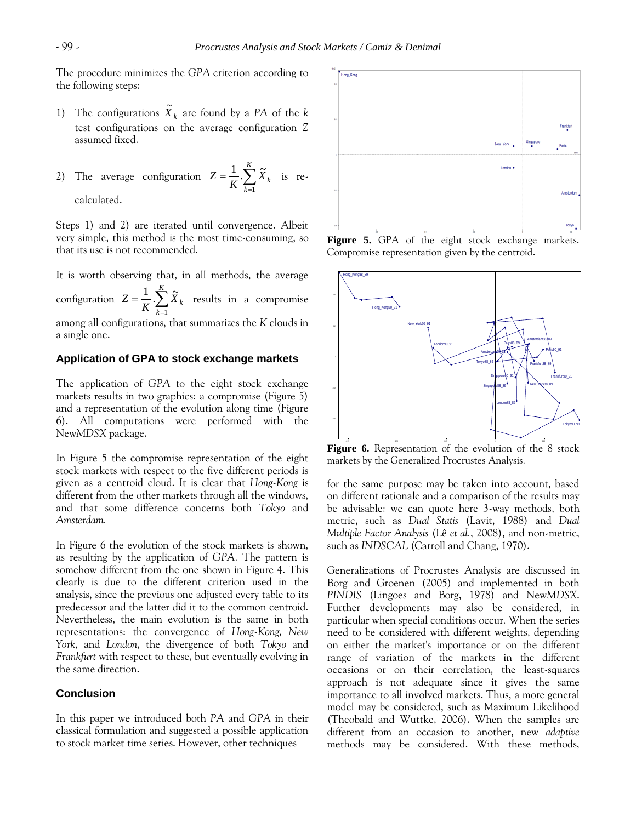The procedure minimizes the *GPA* criterion according to the following steps:

- 1) The configurations  $\widetilde{X}_k$  are found by a *PA* of the *k* test configurations on the average configuration *Z*  assumed fixed.
- 2) The average configuration  $Z = \frac{1}{K} \sum_{k=1}^{K}$ *K k*  $\frac{1}{K} \sum_{k=1}^{K} X_k$ *Z* 1  $\frac{1}{\pi} \sum_{k=1}^{K} \widetilde{X}_{k}$  is recalculated.

Steps 1) and 2) are iterated until convergence. Albeit very simple, this method is the most time-consuming, so that its use is not recommended.

It is worth observing that, in all methods, the average configuration  $Z = \frac{1}{K} \sum_{k=1}^{K}$ *K k*  $\frac{1}{K} \sum_{k=1}^{K} X_k$ *Z* 1  $\frac{1}{\sigma} \sum_{k=1}^{K} \widetilde{X}_{k}$  results in a compromise among all configurations, that summarizes the *K* clouds in a single one.

## **Application of GPA to stock exchange markets**

The application of *GPA* to the eight stock exchange markets results in two graphics: a compromise (Figure 5) and a representation of the evolution along time (Figure 6). All computations were performed with the New*MDSX* package.

In Figure 5 the compromise representation of the eight stock markets with respect to the five different periods is given as a centroid cloud. It is clear that *Hong-Kong* is different from the other markets through all the windows, and that some difference concerns both *Tokyo* and *Amsterdam.*

In Figure 6 the evolution of the stock markets is shown, as resulting by the application of *GPA*. The pattern is somehow different from the one shown in Figure 4. This clearly is due to the different criterion used in the analysis, since the previous one adjusted every table to its predecessor and the latter did it to the common centroid. Nevertheless, the main evolution is the same in both representations: the convergence of *Hong-Kong, New York,* and *London,* the divergence of both *Tokyo* and *Frankfurt* with respect to these, but eventually evolving in the same direction.

## **Conclusion**

In this paper we introduced both *PA* and *GPA* in their classical formulation and suggested a possible application to stock market time series. However, other techniques



**Figure 5.** GPA of the eight stock exchange markets. Compromise representation given by the centroid.



Figure 6. Representation of the evolution of the 8 stock markets by the Generalized Procrustes Analysis.

for the same purpose may be taken into account, based on different rationale and a comparison of the results may be advisable: we can quote here 3-way methods, both metric, such as *Dual Statis* (Lavit, 1988) and *Dual Multiple Factor Analysis* (Lê *et al.*, 2008), and non-metric, such as *INDSCAL* (Carroll and Chang, 1970).

Generalizations of Procrustes Analysis are discussed in Borg and Groenen (2005) and implemented in both *PINDIS* (Lingoes and Borg, 1978) and New*MDSX*. Further developments may also be considered, in particular when special conditions occur. When the series need to be considered with different weights, depending on either the market's importance or on the different range of variation of the markets in the different occasions or on their correlation, the least-squares approach is not adequate since it gives the same importance to all involved markets. Thus, a more general model may be considered, such as Maximum Likelihood (Theobald and Wuttke, 2006). When the samples are different from an occasion to another, new *adaptive*  methods may be considered. With these methods,